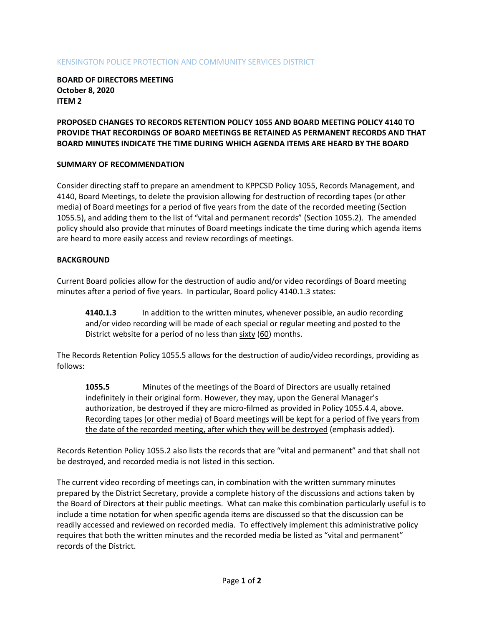#### KENSINGTON POLICE PROTECTION AND COMMUNITY SERVICES DISTRICT

**BOARD OF DIRECTORS MEETING October 8, 2020 ITEM 2**

## **PROPOSED CHANGES TO RECORDS RETENTION POLICY 1055 AND BOARD MEETING POLICY 4140 TO PROVIDE THAT RECORDINGS OF BOARD MEETINGS BE RETAINED AS PERMANENT RECORDS AND THAT BOARD MINUTES INDICATE THE TIME DURING WHICH AGENDA ITEMS ARE HEARD BY THE BOARD**

### **SUMMARY OF RECOMMENDATION**

Consider directing staff to prepare an amendment to KPPCSD Policy 1055, Records Management, and 4140, Board Meetings, to delete the provision allowing for destruction of recording tapes (or other media) of Board meetings for a period of five years from the date of the recorded meeting (Section 1055.5), and adding them to the list of "vital and permanent records" (Section 1055.2). The amended policy should also provide that minutes of Board meetings indicate the time during which agenda items are heard to more easily access and review recordings of meetings.

### **BACKGROUND**

Current Board policies allow for the destruction of audio and/or video recordings of Board meeting minutes after a period of five years. In particular, Board policy 4140.1.3 states:

**4140.1.3** In addition to the written minutes, whenever possible, an audio recording and/or video recording will be made of each special or regular meeting and posted to the District website for a period of no less than sixty (60) months.

The Records Retention Policy 1055.5 allows for the destruction of audio/video recordings, providing as follows:

**1055.5** Minutes of the meetings of the Board of Directors are usually retained indefinitely in their original form. However, they may, upon the General Manager's authorization, be destroyed if they are micro-filmed as provided in Policy 1055.4.4, above. Recording tapes (or other media) of Board meetings will be kept for a period of five years from the date of the recorded meeting, after which they will be destroyed (emphasis added).

Records Retention Policy 1055.2 also lists the records that are "vital and permanent" and that shall not be destroyed, and recorded media is not listed in this section.

The current video recording of meetings can, in combination with the written summary minutes prepared by the District Secretary, provide a complete history of the discussions and actions taken by the Board of Directors at their public meetings. What can make this combination particularly useful is to include a time notation for when specific agenda items are discussed so that the discussion can be readily accessed and reviewed on recorded media. To effectively implement this administrative policy requires that both the written minutes and the recorded media be listed as "vital and permanent" records of the District.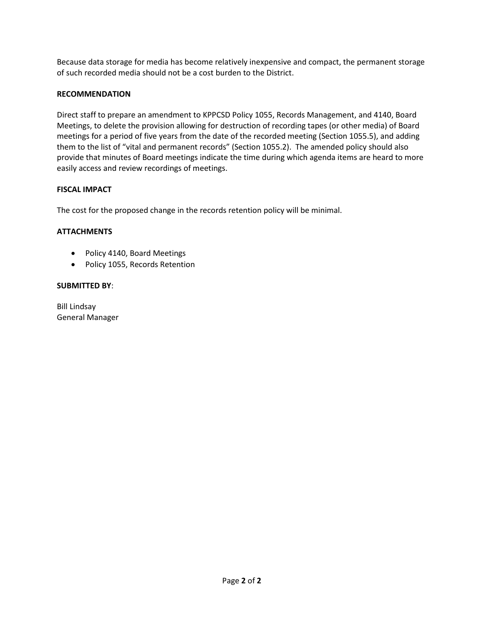Because data storage for media has become relatively inexpensive and compact, the permanent storage of such recorded media should not be a cost burden to the District.

## **RECOMMENDATION**

Direct staff to prepare an amendment to KPPCSD Policy 1055, Records Management, and 4140, Board Meetings, to delete the provision allowing for destruction of recording tapes (or other media) of Board meetings for a period of five years from the date of the recorded meeting (Section 1055.5), and adding them to the list of "vital and permanent records" (Section 1055.2). The amended policy should also provide that minutes of Board meetings indicate the time during which agenda items are heard to more easily access and review recordings of meetings.

### **FISCAL IMPACT**

The cost for the proposed change in the records retention policy will be minimal.

## **ATTACHMENTS**

- Policy 4140, Board Meetings
- Policy 1055, Records Retention

#### **SUBMITTED BY**:

Bill Lindsay General Manager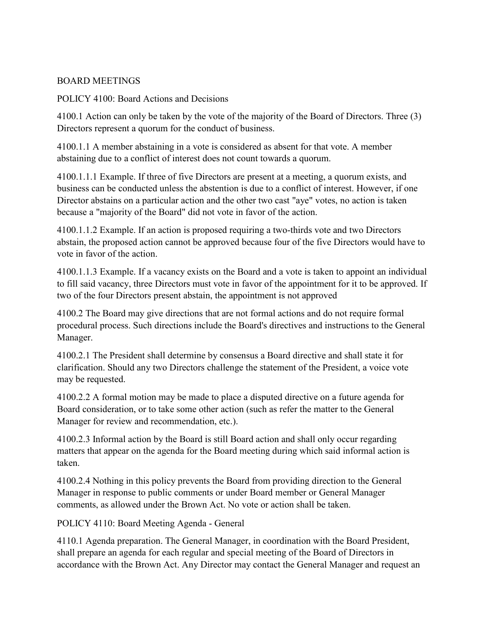# BOARD MEETINGS

POLICY 4100: Board Actions and Decisions

4100.1 Action can only be taken by the vote of the majority of the Board of Directors. Three (3) Directors represent a quorum for the conduct of business.

4100.1.1 A member abstaining in a vote is considered as absent for that vote. A member abstaining due to a conflict of interest does not count towards a quorum.

4100.1.1.1 Example. If three of five Directors are present at a meeting, a quorum exists, and business can be conducted unless the abstention is due to a conflict of interest. However, if one Director abstains on a particular action and the other two cast "aye" votes, no action is taken because a "majority of the Board" did not vote in favor of the action.

4100.1.1.2 Example. If an action is proposed requiring a two-thirds vote and two Directors abstain, the proposed action cannot be approved because four of the five Directors would have to vote in favor of the action.

4100.1.1.3 Example. If a vacancy exists on the Board and a vote is taken to appoint an individual to fill said vacancy, three Directors must vote in favor of the appointment for it to be approved. If two of the four Directors present abstain, the appointment is not approved

4100.2 The Board may give directions that are not formal actions and do not require formal procedural process. Such directions include the Board's directives and instructions to the General Manager.

4100.2.1 The President shall determine by consensus a Board directive and shall state it for clarification. Should any two Directors challenge the statement of the President, a voice vote may be requested.

4100.2.2 A formal motion may be made to place a disputed directive on a future agenda for Board consideration, or to take some other action (such as refer the matter to the General Manager for review and recommendation, etc.).

4100.2.3 Informal action by the Board is still Board action and shall only occur regarding matters that appear on the agenda for the Board meeting during which said informal action is taken.

4100.2.4 Nothing in this policy prevents the Board from providing direction to the General Manager in response to public comments or under Board member or General Manager comments, as allowed under the Brown Act. No vote or action shall be taken.

POLICY 4110: Board Meeting Agenda - General

4110.1 Agenda preparation. The General Manager, in coordination with the Board President, shall prepare an agenda for each regular and special meeting of the Board of Directors in accordance with the Brown Act. Any Director may contact the General Manager and request an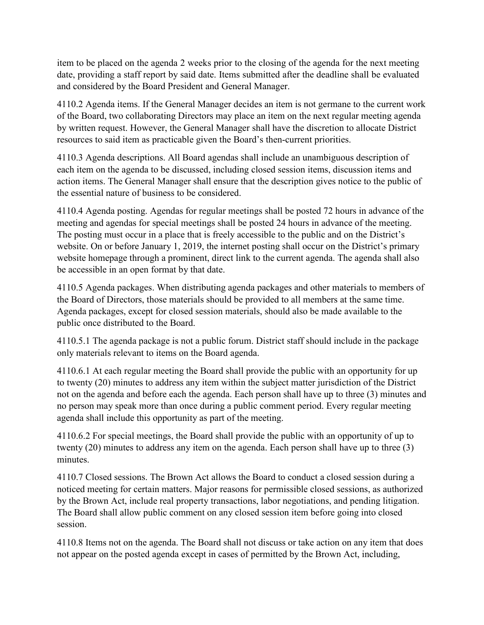item to be placed on the agenda 2 weeks prior to the closing of the agenda for the next meeting date, providing a staff report by said date. Items submitted after the deadline shall be evaluated and considered by the Board President and General Manager.

4110.2 Agenda items. If the General Manager decides an item is not germane to the current work of the Board, two collaborating Directors may place an item on the next regular meeting agenda by written request. However, the General Manager shall have the discretion to allocate District resources to said item as practicable given the Board's then-current priorities.

4110.3 Agenda descriptions. All Board agendas shall include an unambiguous description of each item on the agenda to be discussed, including closed session items, discussion items and action items. The General Manager shall ensure that the description gives notice to the public of the essential nature of business to be considered.

4110.4 Agenda posting. Agendas for regular meetings shall be posted 72 hours in advance of the meeting and agendas for special meetings shall be posted 24 hours in advance of the meeting. The posting must occur in a place that is freely accessible to the public and on the District's website. On or before January 1, 2019, the internet posting shall occur on the District's primary website homepage through a prominent, direct link to the current agenda. The agenda shall also be accessible in an open format by that date.

4110.5 Agenda packages. When distributing agenda packages and other materials to members of the Board of Directors, those materials should be provided to all members at the same time. Agenda packages, except for closed session materials, should also be made available to the public once distributed to the Board.

4110.5.1 The agenda package is not a public forum. District staff should include in the package only materials relevant to items on the Board agenda.

4110.6.1 At each regular meeting the Board shall provide the public with an opportunity for up to twenty (20) minutes to address any item within the subject matter jurisdiction of the District not on the agenda and before each the agenda. Each person shall have up to three (3) minutes and no person may speak more than once during a public comment period. Every regular meeting agenda shall include this opportunity as part of the meeting.

4110.6.2 For special meetings, the Board shall provide the public with an opportunity of up to twenty (20) minutes to address any item on the agenda. Each person shall have up to three (3) minutes.

4110.7 Closed sessions. The Brown Act allows the Board to conduct a closed session during a noticed meeting for certain matters. Major reasons for permissible closed sessions, as authorized by the Brown Act, include real property transactions, labor negotiations, and pending litigation. The Board shall allow public comment on any closed session item before going into closed session.

4110.8 Items not on the agenda. The Board shall not discuss or take action on any item that does not appear on the posted agenda except in cases of permitted by the Brown Act, including,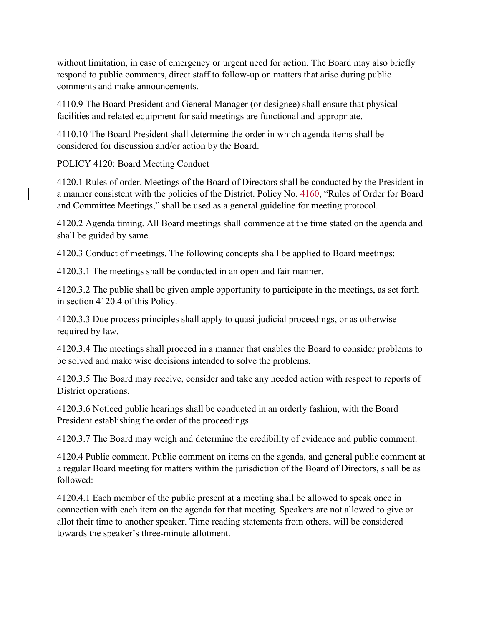without limitation, in case of emergency or urgent need for action. The Board may also briefly respond to public comments, direct staff to follow-up on matters that arise during public comments and make announcements.

4110.9 The Board President and General Manager (or designee) shall ensure that physical facilities and related equipment for said meetings are functional and appropriate.

4110.10 The Board President shall determine the order in which agenda items shall be considered for discussion and/or action by the Board.

POLICY 4120: Board Meeting Conduct

4120.1 Rules of order. Meetings of the Board of Directors shall be conducted by the President in a manner consistent with the policies of the District. Policy No. 4160, "Rules of Order for Board and Committee Meetings," shall be used as a general guideline for meeting protocol.

4120.2 Agenda timing. All Board meetings shall commence at the time stated on the agenda and shall be guided by same.

4120.3 Conduct of meetings. The following concepts shall be applied to Board meetings:

4120.3.1 The meetings shall be conducted in an open and fair manner.

4120.3.2 The public shall be given ample opportunity to participate in the meetings, as set forth in section 4120.4 of this Policy.

4120.3.3 Due process principles shall apply to quasi-judicial proceedings, or as otherwise required by law.

4120.3.4 The meetings shall proceed in a manner that enables the Board to consider problems to be solved and make wise decisions intended to solve the problems.

4120.3.5 The Board may receive, consider and take any needed action with respect to reports of District operations.

4120.3.6 Noticed public hearings shall be conducted in an orderly fashion, with the Board President establishing the order of the proceedings.

4120.3.7 The Board may weigh and determine the credibility of evidence and public comment.

4120.4 Public comment. Public comment on items on the agenda, and general public comment at a regular Board meeting for matters within the jurisdiction of the Board of Directors, shall be as followed:

4120.4.1 Each member of the public present at a meeting shall be allowed to speak once in connection with each item on the agenda for that meeting. Speakers are not allowed to give or allot their time to another speaker. Time reading statements from others, will be considered towards the speaker's three-minute allotment.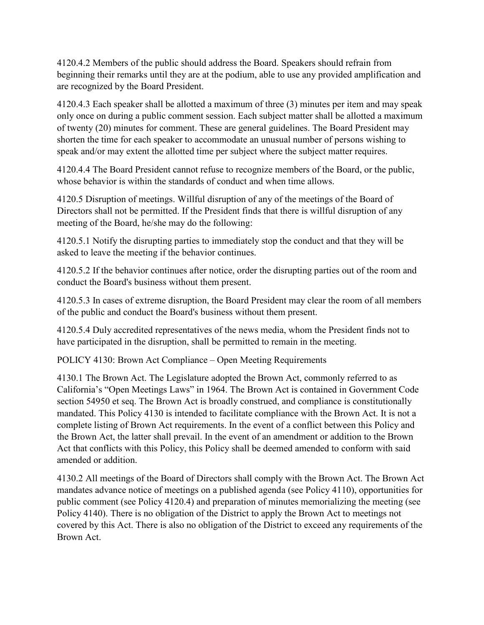4120.4.2 Members of the public should address the Board. Speakers should refrain from beginning their remarks until they are at the podium, able to use any provided amplification and are recognized by the Board President.

4120.4.3 Each speaker shall be allotted a maximum of three (3) minutes per item and may speak only once on during a public comment session. Each subject matter shall be allotted a maximum of twenty (20) minutes for comment. These are general guidelines. The Board President may shorten the time for each speaker to accommodate an unusual number of persons wishing to speak and/or may extent the allotted time per subject where the subject matter requires.

4120.4.4 The Board President cannot refuse to recognize members of the Board, or the public, whose behavior is within the standards of conduct and when time allows.

4120.5 Disruption of meetings. Willful disruption of any of the meetings of the Board of Directors shall not be permitted. If the President finds that there is willful disruption of any meeting of the Board, he/she may do the following:

4120.5.1 Notify the disrupting parties to immediately stop the conduct and that they will be asked to leave the meeting if the behavior continues.

4120.5.2 If the behavior continues after notice, order the disrupting parties out of the room and conduct the Board's business without them present.

4120.5.3 In cases of extreme disruption, the Board President may clear the room of all members of the public and conduct the Board's business without them present.

4120.5.4 Duly accredited representatives of the news media, whom the President finds not to have participated in the disruption, shall be permitted to remain in the meeting.

POLICY 4130: Brown Act Compliance – Open Meeting Requirements

4130.1 The Brown Act. The Legislature adopted the Brown Act, commonly referred to as California's "Open Meetings Laws" in 1964. The Brown Act is contained in Government Code section 54950 et seq. The Brown Act is broadly construed, and compliance is constitutionally mandated. This Policy 4130 is intended to facilitate compliance with the Brown Act. It is not a complete listing of Brown Act requirements. In the event of a conflict between this Policy and the Brown Act, the latter shall prevail. In the event of an amendment or addition to the Brown Act that conflicts with this Policy, this Policy shall be deemed amended to conform with said amended or addition.

4130.2 All meetings of the Board of Directors shall comply with the Brown Act. The Brown Act mandates advance notice of meetings on a published agenda (see Policy 4110), opportunities for public comment (see Policy 4120.4) and preparation of minutes memorializing the meeting (see Policy 4140). There is no obligation of the District to apply the Brown Act to meetings not covered by this Act. There is also no obligation of the District to exceed any requirements of the Brown Act.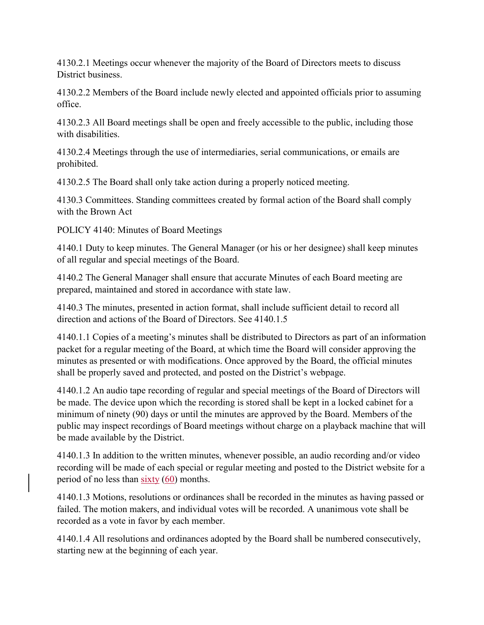4130.2.1 Meetings occur whenever the majority of the Board of Directors meets to discuss District business.

4130.2.2 Members of the Board include newly elected and appointed officials prior to assuming office.

4130.2.3 All Board meetings shall be open and freely accessible to the public, including those with disabilities.

4130.2.4 Meetings through the use of intermediaries, serial communications, or emails are prohibited.

4130.2.5 The Board shall only take action during a properly noticed meeting.

4130.3 Committees. Standing committees created by formal action of the Board shall comply with the Brown Act

POLICY 4140: Minutes of Board Meetings

4140.1 Duty to keep minutes. The General Manager (or his or her designee) shall keep minutes of all regular and special meetings of the Board.

4140.2 The General Manager shall ensure that accurate Minutes of each Board meeting are prepared, maintained and stored in accordance with state law.

4140.3 The minutes, presented in action format, shall include sufficient detail to record all direction and actions of the Board of Directors. See 4140.1.5

4140.1.1 Copies of a meeting's minutes shall be distributed to Directors as part of an information packet for a regular meeting of the Board, at which time the Board will consider approving the minutes as presented or with modifications. Once approved by the Board, the official minutes shall be properly saved and protected, and posted on the District's webpage.

4140.1.2 An audio tape recording of regular and special meetings of the Board of Directors will be made. The device upon which the recording is stored shall be kept in a locked cabinet for a minimum of ninety (90) days or until the minutes are approved by the Board. Members of the public may inspect recordings of Board meetings without charge on a playback machine that will be made available by the District.

4140.1.3 In addition to the written minutes, whenever possible, an audio recording and/or video recording will be made of each special or regular meeting and posted to the District website for a period of no less than  $sixty(60)$  months.

4140.1.3 Motions, resolutions or ordinances shall be recorded in the minutes as having passed or failed. The motion makers, and individual votes will be recorded. A unanimous vote shall be recorded as a vote in favor by each member.

4140.1.4 All resolutions and ordinances adopted by the Board shall be numbered consecutively, starting new at the beginning of each year.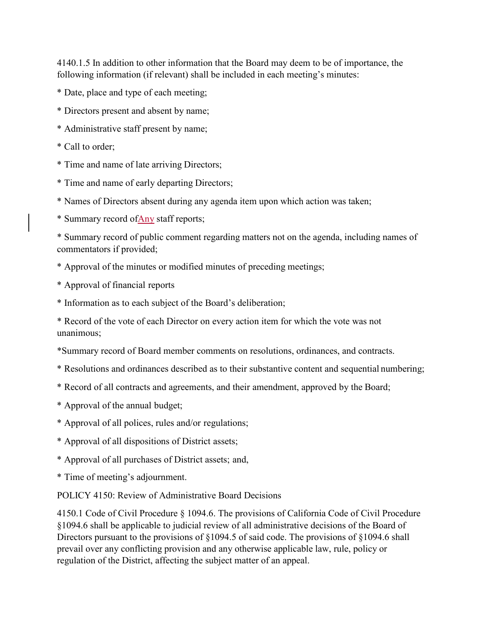4140.1.5 In addition to other information that the Board may deem to be of importance, the following information (if relevant) shall be included in each meeting's minutes:

- \* Date, place and type of each meeting;
- \* Directors present and absent by name;
- \* Administrative staff present by name;
- \* Call to order;
- \* Time and name of late arriving Directors;
- \* Time and name of early departing Directors;
- \* Names of Directors absent during any agenda item upon which action was taken;
- \* Summary record ofAny staff reports;

\* Summary record of public comment regarding matters not on the agenda, including names of commentators if provided;

- \* Approval of the minutes or modified minutes of preceding meetings;
- \* Approval of financial reports
- \* Information as to each subject of the Board's deliberation;

\* Record of the vote of each Director on every action item for which the vote was not unanimous;

- \*Summary record of Board member comments on resolutions, ordinances, and contracts.
- \* Resolutions and ordinances described as to their substantive content and sequential numbering;
- \* Record of all contracts and agreements, and their amendment, approved by the Board;
- \* Approval of the annual budget;
- \* Approval of all polices, rules and/or regulations;
- \* Approval of all dispositions of District assets;
- \* Approval of all purchases of District assets; and,
- \* Time of meeting's adjournment.

POLICY 4150: Review of Administrative Board Decisions

4150.1 Code of Civil Procedure § 1094.6. The provisions of California Code of Civil Procedure §1094.6 shall be applicable to judicial review of all administrative decisions of the Board of Directors pursuant to the provisions of §1094.5 of said code. The provisions of §1094.6 shall prevail over any conflicting provision and any otherwise applicable law, rule, policy or regulation of the District, affecting the subject matter of an appeal.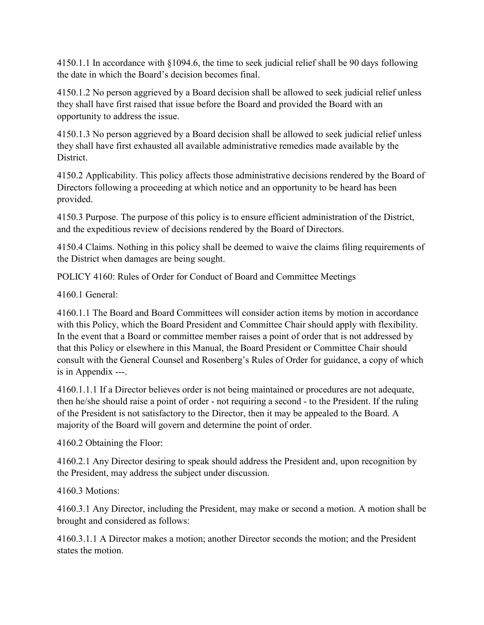4150.1.1 In accordance with §1094.6, the time to seek judicial relief shall be 90 days following the date in which the Board's decision becomes final.

4150.1.2 No person aggrieved by a Board decision shall be allowed to seek judicial relief unless they shall have first raised that issue before the Board and provided the Board with an opportunity to address the issue.

4150.1.3 No person aggrieved by a Board decision shall be allowed to seek judicial relief unless they shall have first exhausted all available administrative remedies made available by the District.

4150.2 Applicability. This policy affects those administrative decisions rendered by the Board of Directors following a proceeding at which notice and an opportunity to be heard has been provided.

4150.3 Purpose. The purpose of this policy is to ensure efficient administration of the District, and the expeditious review of decisions rendered by the Board of Directors.

4150.4 Claims. Nothing in this policy shall be deemed to waive the claims filing requirements of the District when damages are being sought.

POLICY 4160: Rules of Order for Conduct of Board and Committee Meetings

4160.1 General:

4160.1.1 The Board and Board Committees will consider action items by motion in accordance with this Policy, which the Board President and Committee Chair should apply with flexibility. In the event that a Board or committee member raises a point of order that is not addressed by that this Policy or elsewhere in this Manual, the Board President or Committee Chair should consult with the General Counsel and Rosenberg's Rules of Order for guidance, a copy of which is in Appendix ---.

4160.1.1.1 If a Director believes order is not being maintained or procedures are not adequate, then he/she should raise a point of order - not requiring a second - to the President. If the ruling of the President is not satisfactory to the Director, then it may be appealed to the Board. A majority of the Board will govern and determine the point of order.

4160.2 Obtaining the Floor:

4160.2.1 Any Director desiring to speak should address the President and, upon recognition by the President, may address the subject under discussion.

4160.3 Motions:

4160.3.1 Any Director, including the President, may make or second a motion. A motion shall be brought and considered as follows:

4160.3.1.1 A Director makes a motion; another Director seconds the motion; and the President states the motion.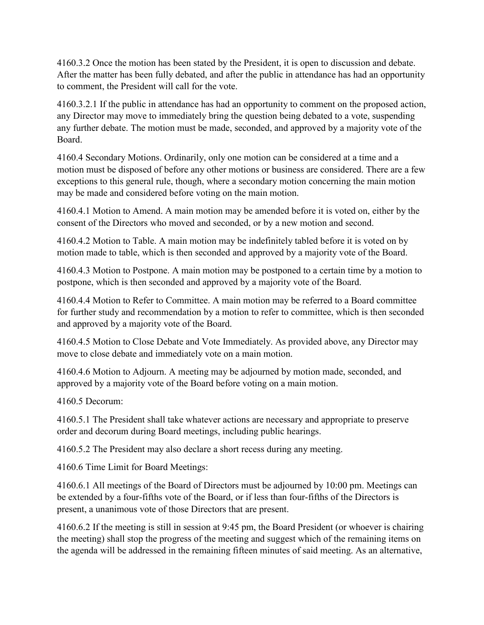4160.3.2 Once the motion has been stated by the President, it is open to discussion and debate. After the matter has been fully debated, and after the public in attendance has had an opportunity to comment, the President will call for the vote.

4160.3.2.1 If the public in attendance has had an opportunity to comment on the proposed action, any Director may move to immediately bring the question being debated to a vote, suspending any further debate. The motion must be made, seconded, and approved by a majority vote of the Board.

4160.4 Secondary Motions. Ordinarily, only one motion can be considered at a time and a motion must be disposed of before any other motions or business are considered. There are a few exceptions to this general rule, though, where a secondary motion concerning the main motion may be made and considered before voting on the main motion.

4160.4.1 Motion to Amend. A main motion may be amended before it is voted on, either by the consent of the Directors who moved and seconded, or by a new motion and second.

4160.4.2 Motion to Table. A main motion may be indefinitely tabled before it is voted on by motion made to table, which is then seconded and approved by a majority vote of the Board.

4160.4.3 Motion to Postpone. A main motion may be postponed to a certain time by a motion to postpone, which is then seconded and approved by a majority vote of the Board.

4160.4.4 Motion to Refer to Committee. A main motion may be referred to a Board committee for further study and recommendation by a motion to refer to committee, which is then seconded and approved by a majority vote of the Board.

4160.4.5 Motion to Close Debate and Vote Immediately. As provided above, any Director may move to close debate and immediately vote on a main motion.

4160.4.6 Motion to Adjourn. A meeting may be adjourned by motion made, seconded, and approved by a majority vote of the Board before voting on a main motion.

4160.5 Decorum:

4160.5.1 The President shall take whatever actions are necessary and appropriate to preserve order and decorum during Board meetings, including public hearings.

4160.5.2 The President may also declare a short recess during any meeting.

4160.6 Time Limit for Board Meetings:

4160.6.1 All meetings of the Board of Directors must be adjourned by 10:00 pm. Meetings can be extended by a four-fifths vote of the Board, or if less than four-fifths of the Directors is present, a unanimous vote of those Directors that are present.

4160.6.2 If the meeting is still in session at 9:45 pm, the Board President (or whoever is chairing the meeting) shall stop the progress of the meeting and suggest which of the remaining items on the agenda will be addressed in the remaining fifteen minutes of said meeting. As an alternative,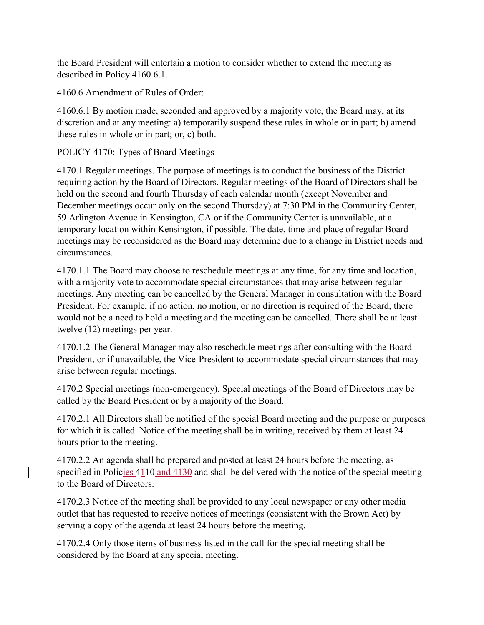the Board President will entertain a motion to consider whether to extend the meeting as described in Policy 4160.6.1.

4160.6 Amendment of Rules of Order:

4160.6.1 By motion made, seconded and approved by a majority vote, the Board may, at its discretion and at any meeting: a) temporarily suspend these rules in whole or in part; b) amend these rules in whole or in part; or, c) both.

POLICY 4170: Types of Board Meetings

4170.1 Regular meetings. The purpose of meetings is to conduct the business of the District requiring action by the Board of Directors. Regular meetings of the Board of Directors shall be held on the second and fourth Thursday of each calendar month (except November and December meetings occur only on the second Thursday) at 7:30 PM in the Community Center, 59 Arlington Avenue in Kensington, CA or if the Community Center is unavailable, at a temporary location within Kensington, if possible. The date, time and place of regular Board meetings may be reconsidered as the Board may determine due to a change in District needs and circumstances.

4170.1.1 The Board may choose to reschedule meetings at any time, for any time and location, with a majority vote to accommodate special circumstances that may arise between regular meetings. Any meeting can be cancelled by the General Manager in consultation with the Board President. For example, if no action, no motion, or no direction is required of the Board, there would not be a need to hold a meeting and the meeting can be cancelled. There shall be at least twelve (12) meetings per year.

4170.1.2 The General Manager may also reschedule meetings after consulting with the Board President, or if unavailable, the Vice-President to accommodate special circumstances that may arise between regular meetings.

4170.2 Special meetings (non-emergency). Special meetings of the Board of Directors may be called by the Board President or by a majority of the Board.

4170.2.1 All Directors shall be notified of the special Board meeting and the purpose or purposes for which it is called. Notice of the meeting shall be in writing, received by them at least 24 hours prior to the meeting.

4170.2.2 An agenda shall be prepared and posted at least 24 hours before the meeting, as specified in Policies  $4110$  and  $4130$  and shall be delivered with the notice of the special meeting to the Board of Directors.

4170.2.3 Notice of the meeting shall be provided to any local newspaper or any other media outlet that has requested to receive notices of meetings (consistent with the Brown Act) by serving a copy of the agenda at least 24 hours before the meeting.

4170.2.4 Only those items of business listed in the call for the special meeting shall be considered by the Board at any special meeting.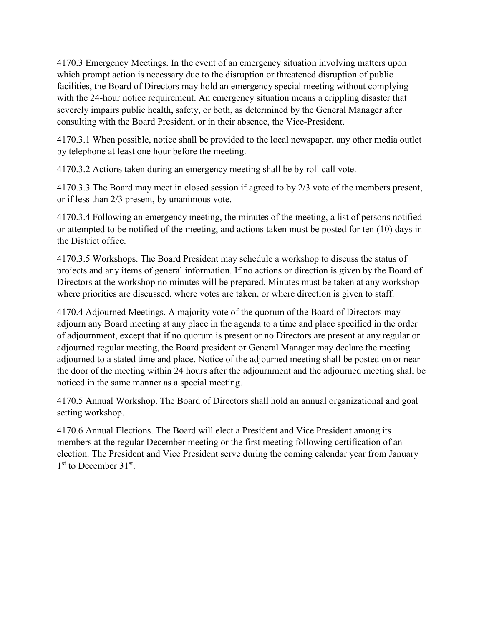4170.3 Emergency Meetings. In the event of an emergency situation involving matters upon which prompt action is necessary due to the disruption or threatened disruption of public facilities, the Board of Directors may hold an emergency special meeting without complying with the 24-hour notice requirement. An emergency situation means a crippling disaster that severely impairs public health, safety, or both, as determined by the General Manager after consulting with the Board President, or in their absence, the Vice-President.

4170.3.1 When possible, notice shall be provided to the local newspaper, any other media outlet by telephone at least one hour before the meeting.

4170.3.2 Actions taken during an emergency meeting shall be by roll call vote.

4170.3.3 The Board may meet in closed session if agreed to by 2/3 vote of the members present, or if less than 2/3 present, by unanimous vote.

4170.3.4 Following an emergency meeting, the minutes of the meeting, a list of persons notified or attempted to be notified of the meeting, and actions taken must be posted for ten (10) days in the District office.

4170.3.5 Workshops. The Board President may schedule a workshop to discuss the status of projects and any items of general information. If no actions or direction is given by the Board of Directors at the workshop no minutes will be prepared. Minutes must be taken at any workshop where priorities are discussed, where votes are taken, or where direction is given to staff.

4170.4 Adjourned Meetings. A majority vote of the quorum of the Board of Directors may adjourn any Board meeting at any place in the agenda to a time and place specified in the order of adjournment, except that if no quorum is present or no Directors are present at any regular or adjourned regular meeting, the Board president or General Manager may declare the meeting adjourned to a stated time and place. Notice of the adjourned meeting shall be posted on or near the door of the meeting within 24 hours after the adjournment and the adjourned meeting shall be noticed in the same manner as a special meeting.

4170.5 Annual Workshop. The Board of Directors shall hold an annual organizational and goal setting workshop.

4170.6 Annual Elections. The Board will elect a President and Vice President among its members at the regular December meeting or the first meeting following certification of an election. The President and Vice President serve during the coming calendar year from January  $1<sup>st</sup>$  to December  $31<sup>st</sup>$ .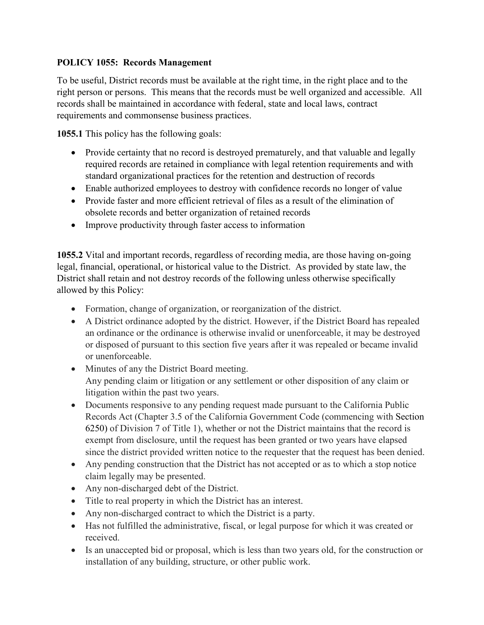# **POLICY 1055: Records Management**

To be useful, District records must be available at the right time, in the right place and to the right person or persons. This means that the records must be well organized and accessible. All records shall be maintained in accordance with federal, state and local laws, contract requirements and commonsense business practices.

**1055.1** This policy has the following goals:

- Provide certainty that no record is destroyed prematurely, and that valuable and legally required records are retained in compliance with legal retention requirements and with standard organizational practices for the retention and destruction of records
- Enable authorized employees to destroy with confidence records no longer of value
- Provide faster and more efficient retrieval of files as a result of the elimination of obsolete records and better organization of retained records
- Improve productivity through faster access to information

**1055.2** Vital and important records, regardless of recording media, are those having on-going legal, financial, operational, or historical value to the District. As provided by state law, the District shall retain and not destroy records of the following unless otherwise specifically allowed by this Policy:

- Formation, change of organization, or reorganization of the district.
- A District ordinance adopted by the district. However, if the District Board has repealed an ordinance or the ordinance is otherwise invalid or unenforceable, it may be destroyed or disposed of pursuant to this section five years after it was repealed or became invalid or unenforceable.
- Minutes of any the District Board meeting. Any pending claim or litigation or any settlement or other disposition of any claim or litigation within the past two years.
- Documents responsive to any pending request made pursuant to the California Public Records Act (Chapter 3.5 of the California Government Code (commencing with [Section](https://1.next.westlaw.com/Link/Document/FullText?findType=L&pubNum=1000211&cite=CAGTS6250&originatingDoc=N7F5DEFE0068511D9A67784DC81DD5F6C&refType=LQ&originationContext=document&transitionType=DocumentItem&contextData=(sc.Category))  [6250\)](https://1.next.westlaw.com/Link/Document/FullText?findType=L&pubNum=1000211&cite=CAGTS6250&originatingDoc=N7F5DEFE0068511D9A67784DC81DD5F6C&refType=LQ&originationContext=document&transitionType=DocumentItem&contextData=(sc.Category)) of Division 7 of Title 1), whether or not the District maintains that the record is exempt from disclosure, until the request has been granted or two years have elapsed since the district provided written notice to the requester that the request has been denied.
- Any pending construction that the District has not accepted or as to which a stop notice claim legally may be presented.
- Any non-discharged debt of the District.
- Title to real property in which the District has an interest.
- Any non-discharged contract to which the District is a party.
- Has not fulfilled the administrative, fiscal, or legal purpose for which it was created or received.
- Is an unaccepted bid or proposal, which is less than two years old, for the construction or installation of any building, structure, or other public work.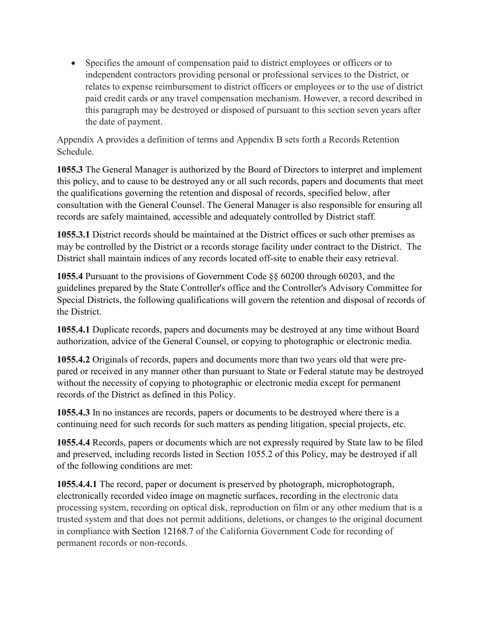• Specifies the amount of compensation paid to district employees or officers or to independent contractors providing personal or professional services to the District, or relates to expense reimbursement to district officers or employees or to the use of district paid credit cards or any travel compensation mechanism. However, a record described in this paragraph may be destroyed or disposed of pursuant to this section seven years after the date of payment.

Appendix A provides a definition of terms and Appendix B sets forth a Records Retention Schedule.

**1055.3** The General Manager is authorized by the Board of Directors to interpret and implement this policy, and to cause to be destroyed any or all such records, papers and documents that meet the qualifications governing the retention and disposal of records, specified below, after consultation with the General Counsel. The General Manager is also responsible for ensuring all records are safely maintained, accessible and adequately controlled by District staff.

**1055.3.1** District records should be maintained at the District offices or such other premises as may be controlled by the District or a records storage facility under contract to the District. The District shall maintain indices of any records located off-site to enable their easy retrieval.

**1055.4** Pursuant to the provisions of Government Code §§ 60200 through 60203, and the guidelines prepared by the State Controller's office and the Controller's Advisory Committee for Special Districts, the following qualifications will govern the retention and disposal of records of the District.

**1055.4.1** Duplicate records, papers and documents may be destroyed at any time without Board authorization, advice of the General Counsel, or copying to photographic or electronic media.

**1055.4.2** Originals of records, papers and documents more than two years old that were prepared or received in any manner other than pursuant to State or Federal statute may be destroyed without the necessity of copying to photographic or electronic media except for permanent records of the District as defined in this Policy.

**1055.4.3** In no instances are records, papers or documents to be destroyed where there is a continuing need for such records for such matters as pending litigation, special projects, etc.

**1055.4.4** Records, papers or documents which are not expressly required by State law to be filed and preserved, including records listed in Section 1055.2 of this Policy, may be destroyed if all of the following conditions are met:

**1055.4.4.1** The record, paper or document is preserved by photograph, microphotograph, electronically recorded video image on magnetic surfaces, recording in the electronic data processing system, recording on optical disk, reproduction on film or any other medium that is a trusted system and that does not permit additions, deletions, or changes to the original document in compliance with [Section 12168.7](https://1.next.westlaw.com/Link/Document/FullText?findType=L&pubNum=1000211&cite=CAGTS12168.7&originatingDoc=N858F5340068511D9A67784DC81DD5F6C&refType=LQ&originationContext=document&transitionType=DocumentItem&contextData=(sc.Category)) of the California Government Code for recording of permanent records or non-records.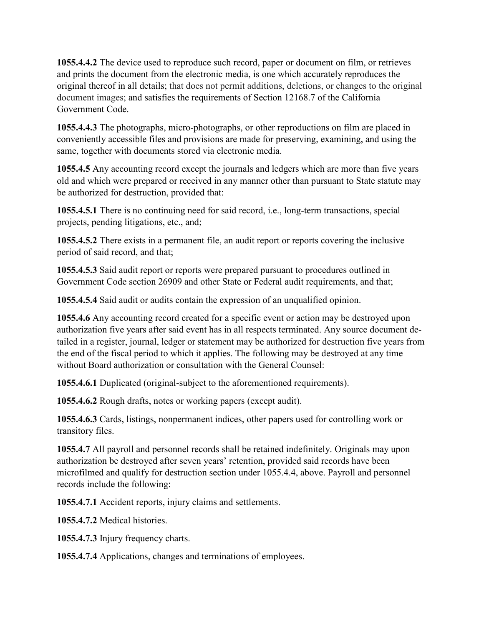**1055.4.4.2** The device used to reproduce such record, paper or document on film, or retrieves and prints the document from the electronic media, is one which accurately reproduces the original thereof in all details; that does not permit additions, deletions, or changes to the original document images; and satisfies the requirements of Section 12168.7 of the California Government Code.

**1055.4.4.3** The photographs, micro-photographs, or other reproductions on film are placed in conveniently accessible files and provisions are made for preserving, examining, and using the same, together with documents stored via electronic media.

**1055.4.5** Any accounting record except the journals and ledgers which are more than five years old and which were prepared or received in any manner other than pursuant to State statute may be authorized for destruction, provided that:

**1055.4.5.1** There is no continuing need for said record, i.e., long-term transactions, special projects, pending litigations, etc., and;

**1055.4.5.2** There exists in a permanent file, an audit report or reports covering the inclusive period of said record, and that;

**1055.4.5.3** Said audit report or reports were prepared pursuant to procedures outlined in Government Code section 26909 and other State or Federal audit requirements, and that;

**1055.4.5.4** Said audit or audits contain the expression of an unqualified opinion.

**1055.4.6** Any accounting record created for a specific event or action may be destroyed upon authorization five years after said event has in all respects terminated. Any source document detailed in a register, journal, ledger or statement may be authorized for destruction five years from the end of the fiscal period to which it applies. The following may be destroyed at any time without Board authorization or consultation with the General Counsel:

**1055.4.6.1** Duplicated (original-subject to the aforementioned requirements).

**1055.4.6.2** Rough drafts, notes or working papers (except audit).

**1055.4.6.3** Cards, listings, nonpermanent indices, other papers used for controlling work or transitory files.

**1055.4.7** All payroll and personnel records shall be retained indefinitely. Originals may upon authorization be destroyed after seven years' retention, provided said records have been microfilmed and qualify for destruction section under 1055.4.4, above. Payroll and personnel records include the following:

**1055.4.7.1** Accident reports, injury claims and settlements.

**1055.4.7.2** Medical histories.

**1055.4.7.3** Injury frequency charts.

**1055.4.7.4** Applications, changes and terminations of employees.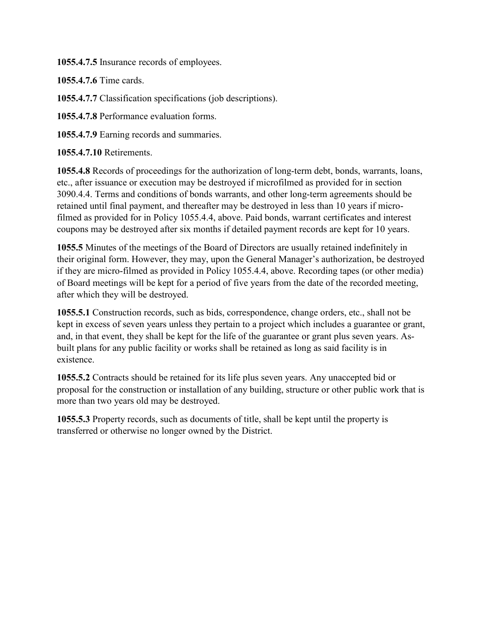**1055.4.7.5** Insurance records of employees.

**1055.4.7.6** Time cards.

**1055.4.7.7** Classification specifications (job descriptions).

**1055.4.7.8** Performance evaluation forms.

**1055.4.7.9** Earning records and summaries.

**1055.4.7.10** Retirements.

**1055.4.8** Records of proceedings for the authorization of long-term debt, bonds, warrants, loans, etc., after issuance or execution may be destroyed if microfilmed as provided for in section 3090.4.4. Terms and conditions of bonds warrants, and other long-term agreements should be retained until final payment, and thereafter may be destroyed in less than 10 years if microfilmed as provided for in Policy 1055.4.4, above. Paid bonds, warrant certificates and interest coupons may be destroyed after six months if detailed payment records are kept for 10 years.

**1055.5** Minutes of the meetings of the Board of Directors are usually retained indefinitely in their original form. However, they may, upon the General Manager's authorization, be destroyed if they are micro-filmed as provided in Policy 1055.4.4, above. Recording tapes (or other media) of Board meetings will be kept for a period of five years from the date of the recorded meeting, after which they will be destroyed.

**1055.5.1** Construction records, such as bids, correspondence, change orders, etc., shall not be kept in excess of seven years unless they pertain to a project which includes a guarantee or grant, and, in that event, they shall be kept for the life of the guarantee or grant plus seven years. Asbuilt plans for any public facility or works shall be retained as long as said facility is in existence.

**1055.5.2** Contracts should be retained for its life plus seven years. Any unaccepted bid or proposal for the construction or installation of any building, structure or other public work that is more than two years old may be destroyed.

**1055.5.3** Property records, such as documents of title, shall be kept until the property is transferred or otherwise no longer owned by the District.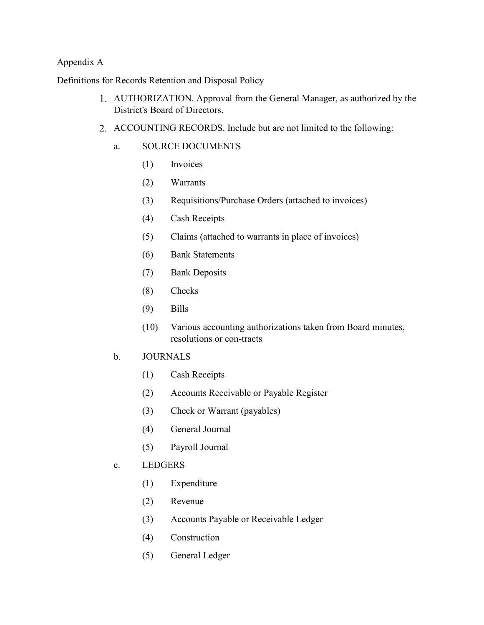## Appendix A

Definitions for Records Retention and Disposal Policy

- AUTHORIZATION. Approval from the General Manager, as authorized by the District's Board of Directors.
- ACCOUNTING RECORDS. Include but are not limited to the following:
	- a. SOURCE DOCUMENTS
		- (1) Invoices
		- (2) Warrants
		- (3) Requisitions/Purchase Orders (attached to invoices)
		- (4) Cash Receipts
		- (5) Claims (attached to warrants in place of invoices)
		- (6) Bank Statements
		- (7) Bank Deposits
		- (8) Checks
		- (9) Bills
		- (10) Various accounting authorizations taken from Board minutes, resolutions or con-tracts
	- b. JOURNALS
		- (1) Cash Receipts
		- (2) Accounts Receivable or Payable Register
		- (3) Check or Warrant (payables)
		- (4) General Journal
		- (5) Payroll Journal
	- c. LEDGERS
		- (1) Expenditure
		- (2) Revenue
		- (3) Accounts Payable or Receivable Ledger
		- (4) Construction
		- (5) General Ledger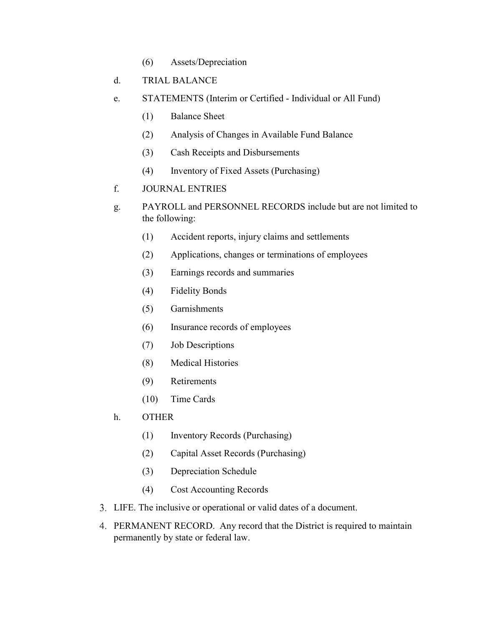(6) Assets/Depreciation

## d. TRIAL BALANCE

- e. STATEMENTS (Interim or Certified Individual or All Fund)
	- (1) Balance Sheet
	- (2) Analysis of Changes in Available Fund Balance
	- (3) Cash Receipts and Disbursements
	- (4) Inventory of Fixed Assets (Purchasing)
- f. JOURNAL ENTRIES
- g. PAYROLL and PERSONNEL RECORDS include but are not limited to the following:
	- (1) Accident reports, injury claims and settlements
	- (2) Applications, changes or terminations of employees
	- (3) Earnings records and summaries
	- (4) Fidelity Bonds
	- (5) Garnishments
	- (6) Insurance records of employees
	- (7) Job Descriptions
	- (8) Medical Histories
	- (9) Retirements
	- (10) Time Cards
- h. OTHER
	- (1) Inventory Records (Purchasing)
	- (2) Capital Asset Records (Purchasing)
	- (3) Depreciation Schedule
	- (4) Cost Accounting Records
- LIFE. The inclusive or operational or valid dates of a document.
- PERMANENT RECORD. Any record that the District is required to maintain permanently by state or federal law.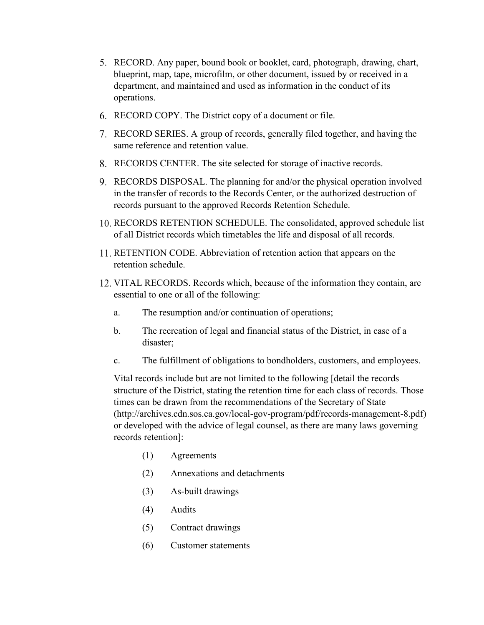- RECORD. Any paper, bound book or booklet, card, photograph, drawing, chart, blueprint, map, tape, microfilm, or other document, issued by or received in a department, and maintained and used as information in the conduct of its operations.
- RECORD COPY. The District copy of a document or file.
- RECORD SERIES. A group of records, generally filed together, and having the same reference and retention value.
- RECORDS CENTER. The site selected for storage of inactive records.
- RECORDS DISPOSAL. The planning for and/or the physical operation involved in the transfer of records to the Records Center, or the authorized destruction of records pursuant to the approved Records Retention Schedule.
- 10. RECORDS RETENTION SCHEDULE. The consolidated, approved schedule list of all District records which timetables the life and disposal of all records.
- 11. RETENTION CODE. Abbreviation of retention action that appears on the retention schedule.
- 12. VITAL RECORDS. Records which, because of the information they contain, are essential to one or all of the following:
	- a. The resumption and/or continuation of operations;
	- b. The recreation of legal and financial status of the District, in case of a disaster;
	- c. The fulfillment of obligations to bondholders, customers, and employees.

Vital records include but are not limited to the following [detail the records structure of the District, stating the retention time for each class of records. Those times can be drawn from the recommendations of the Secretary of State (http://archives.cdn.sos.ca.gov/local-gov-program/pdf/records-management-8.pdf) or developed with the advice of legal counsel, as there are many laws governing records retention]:

- (1) Agreements
- (2) Annexations and detachments
- (3) As-built drawings
- (4) Audits
- (5) Contract drawings
- (6) Customer statements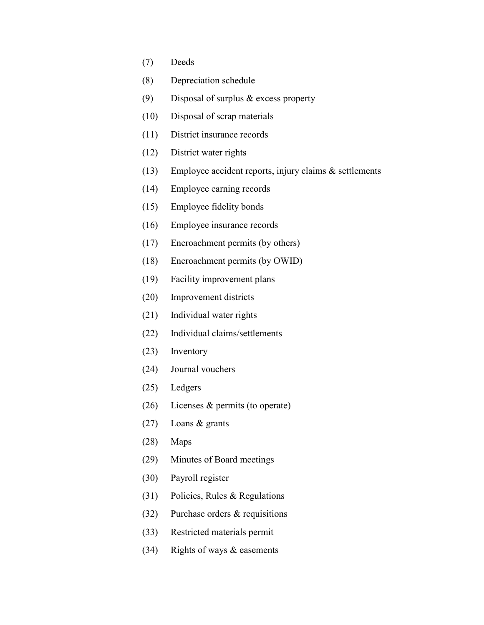- (7) Deeds
- (8) Depreciation schedule
- (9) Disposal of surplus & excess property
- (10) Disposal of scrap materials
- (11) District insurance records
- (12) District water rights
- (13) Employee accident reports, injury claims & settlements
- (14) Employee earning records
- (15) Employee fidelity bonds
- (16) Employee insurance records
- (17) Encroachment permits (by others)
- (18) Encroachment permits (by OWID)
- (19) Facility improvement plans
- (20) Improvement districts
- (21) Individual water rights
- (22) Individual claims/settlements
- (23) Inventory
- (24) Journal vouchers
- (25) Ledgers
- (26) Licenses & permits (to operate)
- (27) Loans & grants
- (28) Maps
- (29) Minutes of Board meetings
- (30) Payroll register
- (31) Policies, Rules & Regulations
- (32) Purchase orders & requisitions
- (33) Restricted materials permit
- (34) Rights of ways & easements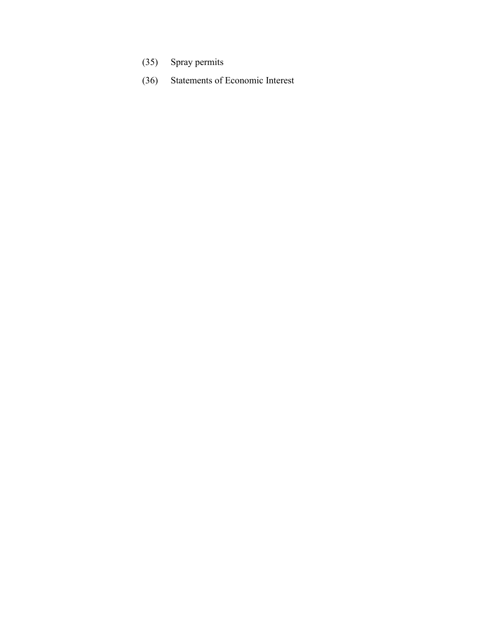- (35) Spray permits
- (36) Statements of Economic Interest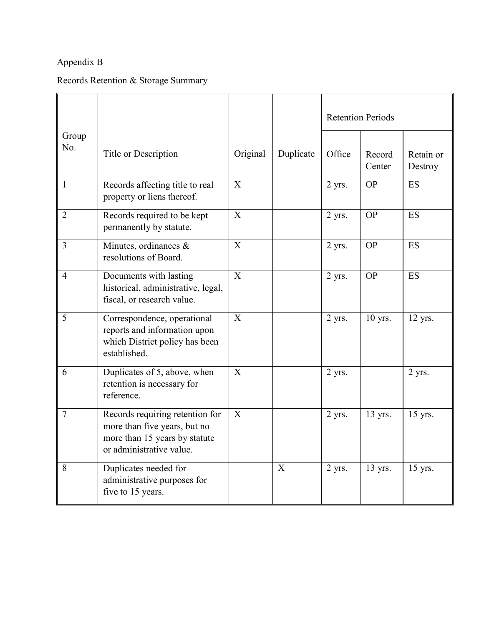# Appendix B

# Records Retention & Storage Summary

|                |                                                                                                                              |                |           | <b>Retention Periods</b> |                  |                      |
|----------------|------------------------------------------------------------------------------------------------------------------------------|----------------|-----------|--------------------------|------------------|----------------------|
| Group<br>No.   | Title or Description                                                                                                         | Original       | Duplicate | Office                   | Record<br>Center | Retain or<br>Destroy |
| $\mathbf{1}$   | Records affecting title to real<br>property or liens thereof.                                                                | X              |           | 2 yrs.                   | <b>OP</b>        | <b>ES</b>            |
| $\overline{2}$ | Records required to be kept<br>permanently by statute.                                                                       | $\mathbf X$    |           | 2 yrs.                   | <b>OP</b>        | ES                   |
| $\overline{3}$ | Minutes, ordinances &<br>resolutions of Board.                                                                               | $\overline{X}$ |           | 2 yrs.                   | <b>OP</b>        | ES                   |
| 4              | Documents with lasting<br>historical, administrative, legal,<br>fiscal, or research value.                                   | X              |           | 2 yrs.                   | <b>OP</b>        | ES                   |
| 5              | Correspondence, operational<br>reports and information upon<br>which District policy has been<br>established.                | X              |           | 2 yrs.                   | 10 yrs.          | 12 yrs.              |
| 6              | Duplicates of 5, above, when<br>retention is necessary for<br>reference.                                                     | X              |           | 2 yrs.                   |                  | 2 yrs.               |
| $\overline{7}$ | Records requiring retention for<br>more than five years, but no<br>more than 15 years by statute<br>or administrative value. | X              |           | 2 yrs.                   | 13 yrs.          | 15 yrs.              |
| 8              | Duplicates needed for<br>administrative purposes for<br>five to 15 years.                                                    |                | X         | 2 yrs.                   | 13 yrs.          | $15$ yrs.            |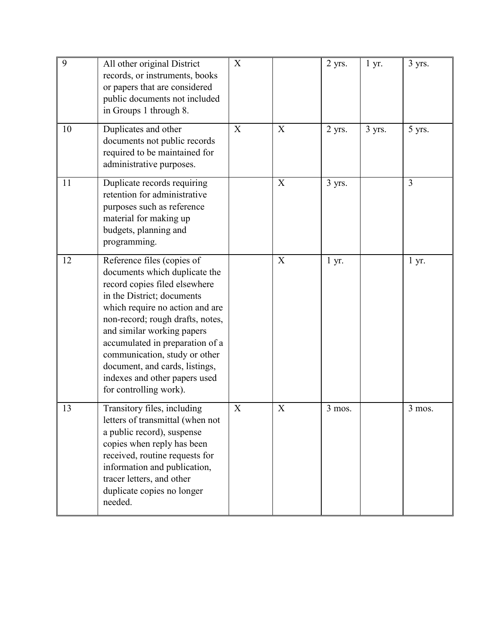| 9  | All other original District<br>records, or instruments, books<br>or papers that are considered<br>public documents not included<br>in Groups 1 through 8.                                                                                                                                                                                                                                        | X |   | 2 yrs. | 1 yr.  | 3 yrs.         |
|----|--------------------------------------------------------------------------------------------------------------------------------------------------------------------------------------------------------------------------------------------------------------------------------------------------------------------------------------------------------------------------------------------------|---|---|--------|--------|----------------|
| 10 | Duplicates and other<br>documents not public records<br>required to be maintained for<br>administrative purposes.                                                                                                                                                                                                                                                                                | X | X | 2 yrs. | 3 yrs. | 5 yrs.         |
| 11 | Duplicate records requiring<br>retention for administrative<br>purposes such as reference<br>material for making up<br>budgets, planning and<br>programming.                                                                                                                                                                                                                                     |   | X | 3 yrs. |        | $\overline{3}$ |
| 12 | Reference files (copies of<br>documents which duplicate the<br>record copies filed elsewhere<br>in the District; documents<br>which require no action and are<br>non-record; rough drafts, notes,<br>and similar working papers<br>accumulated in preparation of a<br>communication, study or other<br>document, and cards, listings,<br>indexes and other papers used<br>for controlling work). |   | X | 1 yr.  |        | 1 yr.          |
| 13 | Transitory files, including<br>letters of transmittal (when not<br>a public record), suspense<br>copies when reply has been<br>received, routine requests for<br>information and publication,<br>tracer letters, and other<br>duplicate copies no longer<br>needed.                                                                                                                              | X | X | 3 mos. |        | 3 mos.         |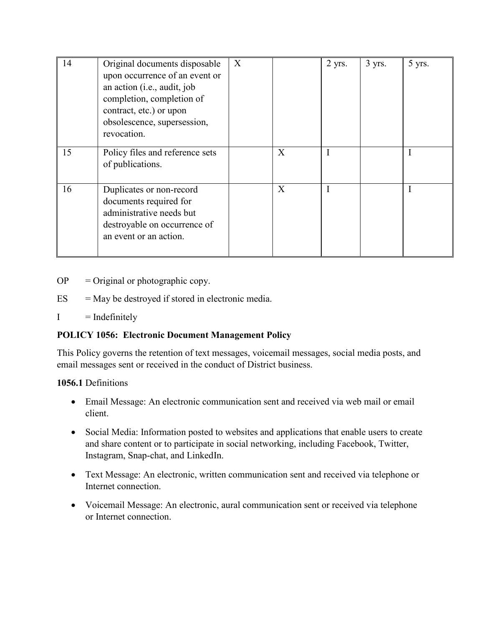| 14 | Original documents disposable<br>upon occurrence of an event or<br>an action (i.e., audit, job<br>completion, completion of<br>contract, etc.) or upon<br>obsolescence, supersession,<br>revocation. | X |                  | 2 yrs. | $3$ yrs. | 5 yrs. |
|----|------------------------------------------------------------------------------------------------------------------------------------------------------------------------------------------------------|---|------------------|--------|----------|--------|
| 15 | Policy files and reference sets<br>of publications.                                                                                                                                                  |   | $\boldsymbol{X}$ |        |          |        |
| 16 | Duplicates or non-record<br>documents required for<br>administrative needs but<br>destroyable on occurrence of<br>an event or an action.                                                             |   | X                |        |          |        |

 $OP =$  Original or photographic copy.

- $ES = May$  be destroyed if stored in electronic media.
- $I = \text{Indefinitely}$

# **POLICY 1056: Electronic Document Management Policy**

This Policy governs the retention of text messages, voicemail messages, social media posts, and email messages sent or received in the conduct of District business.

## **1056.1** Definitions

- Email Message: An electronic communication sent and received via web mail or email client.
- Social Media: Information posted to websites and applications that enable users to create and share content or to participate in social networking, including Facebook, Twitter, Instagram, Snap-chat, and LinkedIn.
- Text Message: An electronic, written communication sent and received via telephone or Internet connection.
- Voicemail Message: An electronic, aural communication sent or received via telephone or Internet connection.